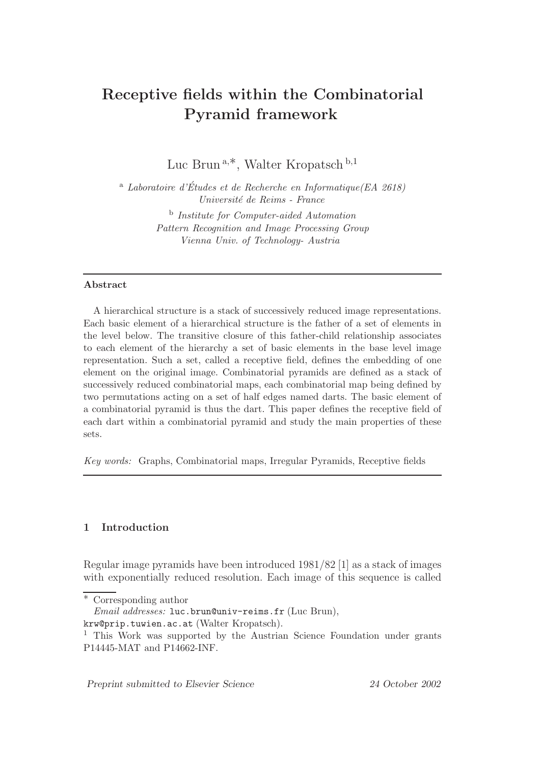# Receptive fields within the Combinatorial Pyramid framework

Luc Brun <sup>a</sup>,∗, Walter Kropatsch <sup>b</sup>,<sup>1</sup>

<sup>a</sup> Laboratoire d'Études et de Recherche en Informatique (EA 2618) Universit´e de Reims - France

> <sup>b</sup> Institute for Computer-aided Automation Pattern Recognition and Image Processing Group Vienna Univ. of Technology- Austria

#### Abstract

A hierarchical structure is a stack of successively reduced image representations. Each basic element of a hierarchical structure is the father of a set of elements in the level below. The transitive closure of this father-child relationship associates to each element of the hierarchy a set of basic elements in the base level image representation. Such a set, called a receptive field, defines the embedding of one element on the original image. Combinatorial pyramids are defined as a stack of successively reduced combinatorial maps, each combinatorial map being defined by two permutations acting on a set of half edges named darts. The basic element of a combinatorial pyramid is thus the dart. This paper defines the receptive field of each dart within a combinatorial pyramid and study the main properties of these sets.

Key words: Graphs, Combinatorial maps, Irregular Pyramids, Receptive fields

# 1 Introduction

Regular image pyramids have been introduced 1981/82 [1] as a stack of images with exponentially reduced resolution. Each image of this sequence is called

Preprint submitted to Elsevier Science 24 October 2002

Corresponding author

 $Email$   $addresses:$  luc.brun@univ-reims.fr (Luc Brun),

krw@prip.tuwien.ac.at (Walter Kropatsch).

<sup>&</sup>lt;sup>1</sup> This Work was supported by the Austrian Science Foundation under grants P14445-MAT and P14662-INF.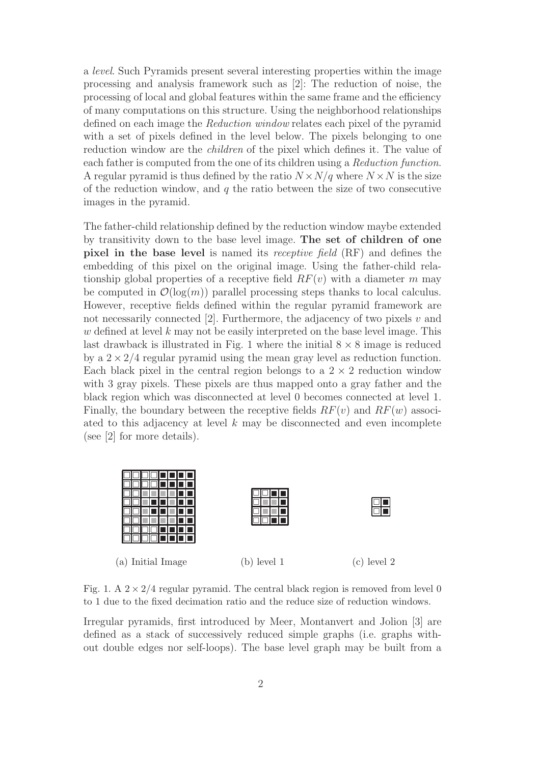a level. Such Pyramids present several interesting properties within the image processing and analysis framework such as [2]: The reduction of noise, the processing of local and global features within the same frame and the efficiency of many computations on this structure. Using the neighborhood relationships defined on each image the Reduction window relates each pixel of the pyramid with a set of pixels defined in the level below. The pixels belonging to one reduction window are the *children* of the pixel which defines it. The value of each father is computed from the one of its children using a Reduction function. A regular pyramid is thus defined by the ratio  $N \times N/q$  where  $N \times N$  is the size of the reduction window, and  $q$  the ratio between the size of two consecutive images in the pyramid.

The father-child relationship defined by the reduction window maybe extended by transitivity down to the base level image. The set of children of one pixel in the base level is named its receptive field (RF) and defines the embedding of this pixel on the original image. Using the father-child relationship global properties of a receptive field  $RF(v)$  with a diameter m may be computed in  $\mathcal{O}(\log(m))$  parallel processing steps thanks to local calculus. However, receptive fields defined within the regular pyramid framework are not necessarily connected  $[2]$ . Furthermore, the adjacency of two pixels v and  $w$  defined at level  $k$  may not be easily interpreted on the base level image. This last drawback is illustrated in Fig. 1 where the initial  $8 \times 8$  image is reduced by a  $2 \times 2/4$  regular pyramid using the mean gray level as reduction function. Each black pixel in the central region belongs to a  $2 \times 2$  reduction window with 3 gray pixels. These pixels are thus mapped onto a gray father and the black region which was disconnected at level 0 becomes connected at level 1. Finally, the boundary between the receptive fields  $RF(v)$  and  $RF(w)$  associated to this adjacency at level  $k$  may be disconnected and even incomplete (see [2] for more details).



Fig. 1. A  $2 \times 2/4$  regular pyramid. The central black region is removed from level 0 to 1 due to the fixed decimation ratio and the reduce size of reduction windows.

Irregular pyramids, first introduced by Meer, Montanvert and Jolion [3] are defined as a stack of successively reduced simple graphs (i.e. graphs without double edges nor self-loops). The base level graph may be built from a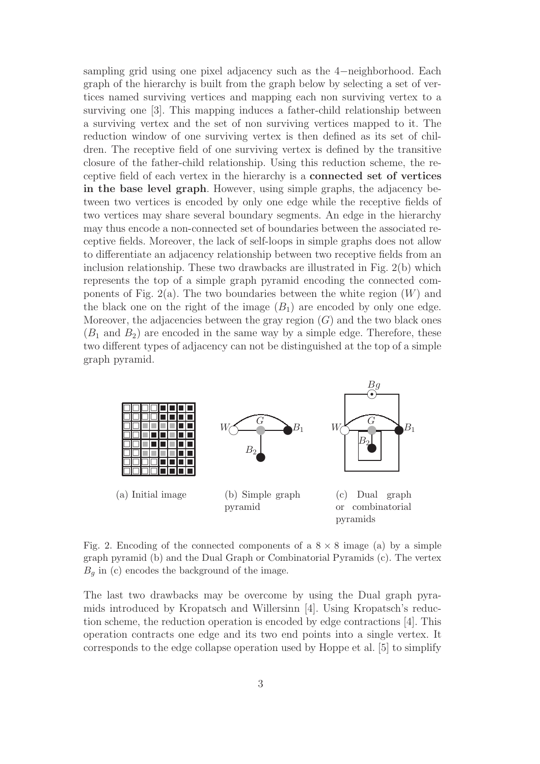sampling grid using one pixel adjacency such as the 4−neighborhood. Each graph of the hierarchy is built from the graph below by selecting a set of vertices named surviving vertices and mapping each non surviving vertex to a surviving one [3]. This mapping induces a father-child relationship between a surviving vertex and the set of non surviving vertices mapped to it. The reduction window of one surviving vertex is then defined as its set of children. The receptive field of one surviving vertex is defined by the transitive closure of the father-child relationship. Using this reduction scheme, the receptive field of each vertex in the hierarchy is a connected set of vertices in the base level graph. However, using simple graphs, the adjacency between two vertices is encoded by only one edge while the receptive fields of two vertices may share several boundary segments. An edge in the hierarchy may thus encode a non-connected set of boundaries between the associated receptive fields. Moreover, the lack of self-loops in simple graphs does not allow to differentiate an adjacency relationship between two receptive fields from an inclusion relationship. These two drawbacks are illustrated in Fig. 2(b) which represents the top of a simple graph pyramid encoding the connected components of Fig. 2(a). The two boundaries between the white region  $(W)$  and the black one on the right of the image  $(B_1)$  are encoded by only one edge. Moreover, the adjacencies between the gray region  $(G)$  and the two black ones  $(B_1 \text{ and } B_2)$  are encoded in the same way by a simple edge. Therefore, these two different types of adjacency can not be distinguished at the top of a simple graph pyramid.



Fig. 2. Encoding of the connected components of a  $8 \times 8$  image (a) by a simple graph pyramid (b) and the Dual Graph or Combinatorial Pyramids (c). The vertex  $B_q$  in (c) encodes the background of the image.

The last two drawbacks may be overcome by using the Dual graph pyramids introduced by Kropatsch and Willersinn [4]. Using Kropatsch's reduction scheme, the reduction operation is encoded by edge contractions [4]. This operation contracts one edge and its two end points into a single vertex. It corresponds to the edge collapse operation used by Hoppe et al. [5] to simplify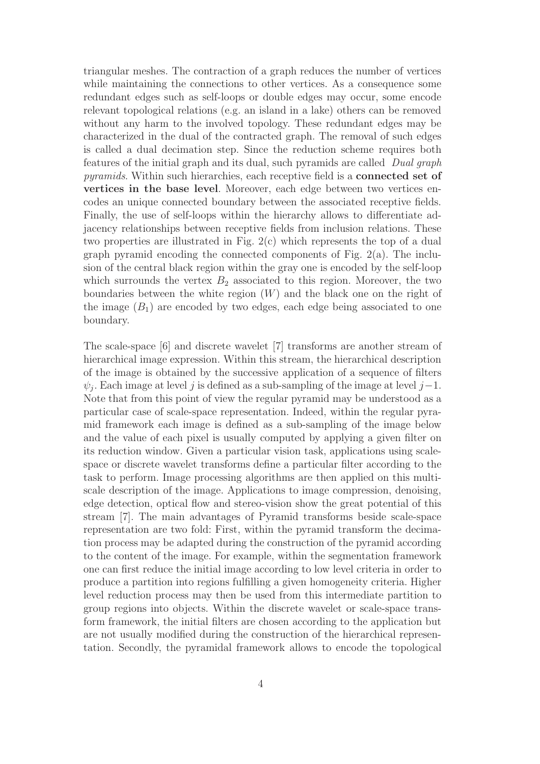triangular meshes. The contraction of a graph reduces the number of vertices while maintaining the connections to other vertices. As a consequence some redundant edges such as self-loops or double edges may occur, some encode relevant topological relations (e.g. an island in a lake) others can be removed without any harm to the involved topology. These redundant edges may be characterized in the dual of the contracted graph. The removal of such edges is called a dual decimation step. Since the reduction scheme requires both features of the initial graph and its dual, such pyramids are called Dual graph pyramids. Within such hierarchies, each receptive field is a **connected set of** vertices in the base level. Moreover, each edge between two vertices encodes an unique connected boundary between the associated receptive fields. Finally, the use of self-loops within the hierarchy allows to differentiate adjacency relationships between receptive fields from inclusion relations. These two properties are illustrated in Fig. 2(c) which represents the top of a dual graph pyramid encoding the connected components of Fig. 2(a). The inclusion of the central black region within the gray one is encoded by the self-loop which surrounds the vertex  $B_2$  associated to this region. Moreover, the two boundaries between the white region  $(W)$  and the black one on the right of the image  $(B_1)$  are encoded by two edges, each edge being associated to one boundary.

The scale-space [6] and discrete wavelet [7] transforms are another stream of hierarchical image expression. Within this stream, the hierarchical description of the image is obtained by the successive application of a sequence of filters  $\psi_j$ . Each image at level j is defined as a sub-sampling of the image at level  $j-1$ . Note that from this point of view the regular pyramid may be understood as a particular case of scale-space representation. Indeed, within the regular pyramid framework each image is defined as a sub-sampling of the image below and the value of each pixel is usually computed by applying a given filter on its reduction window. Given a particular vision task, applications using scalespace or discrete wavelet transforms define a particular filter according to the task to perform. Image processing algorithms are then applied on this multiscale description of the image. Applications to image compression, denoising, edge detection, optical flow and stereo-vision show the great potential of this stream [7]. The main advantages of Pyramid transforms beside scale-space representation are two fold: First, within the pyramid transform the decimation process may be adapted during the construction of the pyramid according to the content of the image. For example, within the segmentation framework one can first reduce the initial image according to low level criteria in order to produce a partition into regions fulfilling a given homogeneity criteria. Higher level reduction process may then be used from this intermediate partition to group regions into objects. Within the discrete wavelet or scale-space transform framework, the initial filters are chosen according to the application but are not usually modified during the construction of the hierarchical representation. Secondly, the pyramidal framework allows to encode the topological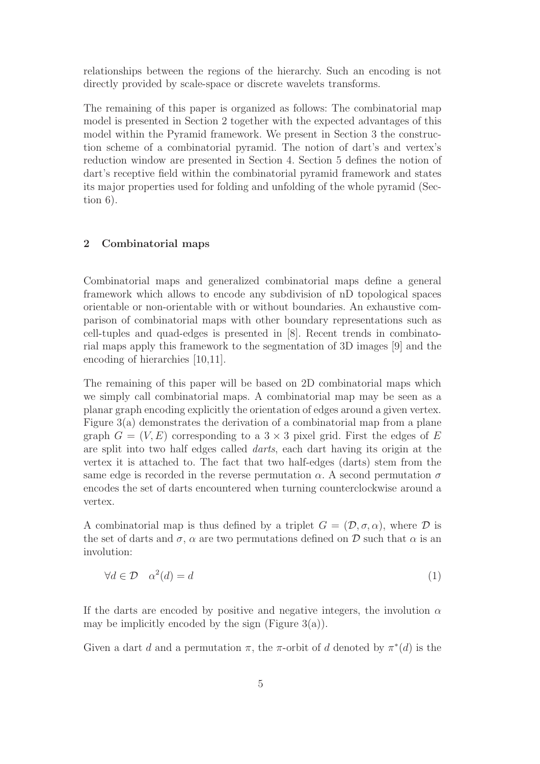relationships between the regions of the hierarchy. Such an encoding is not directly provided by scale-space or discrete wavelets transforms.

The remaining of this paper is organized as follows: The combinatorial map model is presented in Section 2 together with the expected advantages of this model within the Pyramid framework. We present in Section 3 the construction scheme of a combinatorial pyramid. The notion of dart's and vertex's reduction window are presented in Section 4. Section 5 defines the notion of dart's receptive field within the combinatorial pyramid framework and states its major properties used for folding and unfolding of the whole pyramid (Section 6).

## 2 Combinatorial maps

Combinatorial maps and generalized combinatorial maps define a general framework which allows to encode any subdivision of nD topological spaces orientable or non-orientable with or without boundaries. An exhaustive comparison of combinatorial maps with other boundary representations such as cell-tuples and quad-edges is presented in [8]. Recent trends in combinatorial maps apply this framework to the segmentation of 3D images [9] and the encoding of hierarchies [10,11].

The remaining of this paper will be based on 2D combinatorial maps which we simply call combinatorial maps. A combinatorial map may be seen as a planar graph encoding explicitly the orientation of edges around a given vertex. Figure 3(a) demonstrates the derivation of a combinatorial map from a plane graph  $G = (V, E)$  corresponding to a 3  $\times$  3 pixel grid. First the edges of E are split into two half edges called darts, each dart having its origin at the vertex it is attached to. The fact that two half-edges (darts) stem from the same edge is recorded in the reverse permutation  $\alpha$ . A second permutation  $\sigma$ encodes the set of darts encountered when turning counterclockwise around a vertex.

A combinatorial map is thus defined by a triplet  $G = (\mathcal{D}, \sigma, \alpha)$ , where  $\mathcal D$  is the set of darts and  $\sigma$ ,  $\alpha$  are two permutations defined on D such that  $\alpha$  is an involution:

$$
\forall d \in \mathcal{D} \quad \alpha^2(d) = d \tag{1}
$$

If the darts are encoded by positive and negative integers, the involution  $\alpha$ may be implicitly encoded by the sign (Figure  $3(a)$ ).

Given a dart d and a permutation  $\pi$ , the  $\pi$ -orbit of d denoted by  $\pi^*(d)$  is the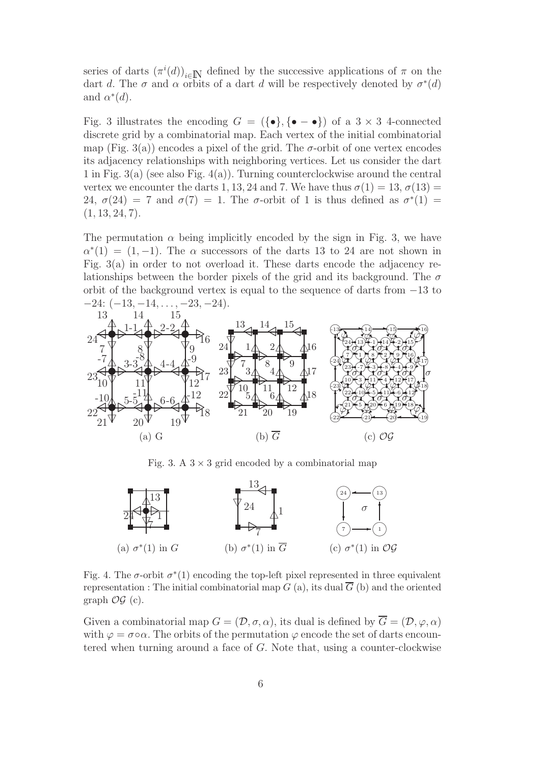series of darts  $(\pi^i(d))_{i\in\mathbb{N}}$  defined by the successive applications of  $\pi$  on the dart d. The  $\sigma$  and  $\alpha$  orbits of a dart d will be respectively denoted by  $\sigma^*(d)$ and  $\alpha^*(d)$ .

Fig. 3 illustrates the encoding  $G = (\{\bullet\}, \{\bullet - \bullet\})$  of a  $3 \times 3$  4-connected discrete grid by a combinatorial map. Each vertex of the initial combinatorial map (Fig. 3(a)) encodes a pixel of the grid. The  $\sigma$ -orbit of one vertex encodes its adjacency relationships with neighboring vertices. Let us consider the dart 1 in Fig. 3(a) (see also Fig. 4(a)). Turning counterclockwise around the central vertex we encounter the darts 1, 13, 24 and 7. We have thus  $\sigma(1) = 13$ ,  $\sigma(13) =$ 24,  $\sigma(24) = 7$  and  $\sigma(7) = 1$ . The  $\sigma$ -orbit of 1 is thus defined as  $\sigma^*(1) =$  $(1, 13, 24, 7).$ 

The permutation  $\alpha$  being implicitly encoded by the sign in Fig. 3, we have  $\alpha^*(1) = (1, -1)$ . The  $\alpha$  successors of the darts 13 to 24 are not shown in Fig. 3(a) in order to not overload it. These darts encode the adjacency relationships between the border pixels of the grid and its background. The  $\sigma$ orbit of the background vertex is equal to the sequence of darts from −13 to  $-24: (-13, -14, \ldots, -23, -24).$ 



Fig. 3. A  $3 \times 3$  grid encoded by a combinatorial map



Fig. 4. The  $\sigma$ -orbit  $\sigma^*(1)$  encoding the top-left pixel represented in three equivalent representation : The initial combinatorial map  $G$  (a), its dual  $\overline{G}$  (b) and the oriented graph  $\mathcal{OG}$  (c).

Given a combinatorial map  $G = (\mathcal{D}, \sigma, \alpha)$ , its dual is defined by  $\overline{G} = (\mathcal{D}, \varphi, \alpha)$ with  $\varphi = \sigma \circ \alpha$ . The orbits of the permutation  $\varphi$  encode the set of darts encountered when turning around a face of G. Note that, using a counter-clockwise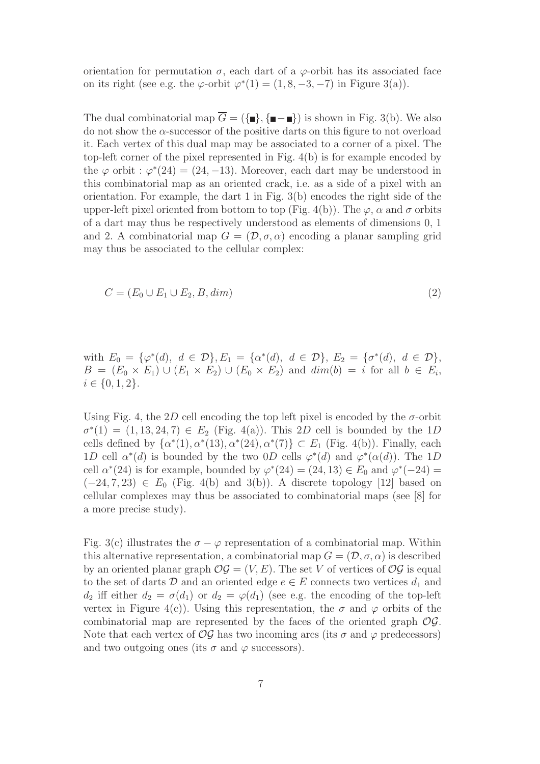orientation for permutation  $\sigma$ , each dart of a  $\varphi$ -orbit has its associated face on its right (see e.g. the  $\varphi$ -orbit  $\varphi^*(1) = (1, 8, -3, -7)$  in Figure 3(a)).

The dual combinatorial map  $\overline{G} = (\{\blacksquare\}, \{\blacksquare - \blacksquare\})$  is shown in Fig. 3(b). We also do not show the  $\alpha$ -successor of the positive darts on this figure to not overload it. Each vertex of this dual map may be associated to a corner of a pixel. The top-left corner of the pixel represented in Fig. 4(b) is for example encoded by the  $\varphi$  orbit :  $\varphi^*(24) = (24, -13)$ . Moreover, each dart may be understood in this combinatorial map as an oriented crack, i.e. as a side of a pixel with an orientation. For example, the dart 1 in Fig.  $3(b)$  encodes the right side of the upper-left pixel oriented from bottom to top (Fig. 4(b)). The  $\varphi$ ,  $\alpha$  and  $\sigma$  orbits of a dart may thus be respectively understood as elements of dimensions 0, 1 and 2. A combinatorial map  $G = (\mathcal{D}, \sigma, \alpha)$  encoding a planar sampling grid may thus be associated to the cellular complex:

$$
C = (E_0 \cup E_1 \cup E_2, B, dim) \tag{2}
$$

with  $E_0 = {\varphi^*(d), d \in \mathcal{D}}, E_1 = {\alpha^*(d), d \in \mathcal{D}}, E_2 = {\sigma^*(d), d \in \mathcal{D}}$  $B = (E_0 \times E_1) \cup (E_1 \times E_2) \cup (E_0 \times E_2)$  and  $dim(b) = i$  for all  $b \in E_i$ ,  $i \in \{0, 1, 2\}.$ 

Using Fig. 4, the 2D cell encoding the top left pixel is encoded by the  $\sigma$ -orbit  $\sigma^*(1) = (1, 13, 24, 7) \in E_2$  (Fig. 4(a)). This 2D cell is bounded by the 1D cells defined by  $\{\alpha^*(1), \alpha^*(13), \alpha^*(24), \alpha^*(7)\} \subset E_1$  (Fig. 4(b)). Finally, each 1D cell  $\alpha^*(d)$  is bounded by the two 0D cells  $\varphi^*(d)$  and  $\varphi^*(\alpha(d))$ . The 1D cell  $\alpha^*(24)$  is for example, bounded by  $\varphi^*(24) = (24, 13) \in E_0$  and  $\varphi^*(-24) =$  $(-24, 7, 23) \in E_0$  (Fig. 4(b) and 3(b)). A discrete topology [12] based on cellular complexes may thus be associated to combinatorial maps (see [8] for a more precise study).

Fig. 3(c) illustrates the  $\sigma - \varphi$  representation of a combinatorial map. Within this alternative representation, a combinatorial map  $G = (\mathcal{D}, \sigma, \alpha)$  is described by an oriented planar graph  $\mathcal{O}\mathcal{G} = (V, E)$ . The set V of vertices of  $\mathcal{O}\mathcal{G}$  is equal to the set of darts D and an oriented edge  $e \in E$  connects two vertices  $d_1$  and  $d_2$  iff either  $d_2 = \sigma(d_1)$  or  $d_2 = \varphi(d_1)$  (see e.g. the encoding of the top-left vertex in Figure 4(c)). Using this representation, the  $\sigma$  and  $\varphi$  orbits of the combinatorial map are represented by the faces of the oriented graph  $\mathcal{O}\mathcal{G}$ . Note that each vertex of  $\mathcal{OG}$  has two incoming arcs (its  $\sigma$  and  $\varphi$  predecessors) and two outgoing ones (its  $\sigma$  and  $\varphi$  successors).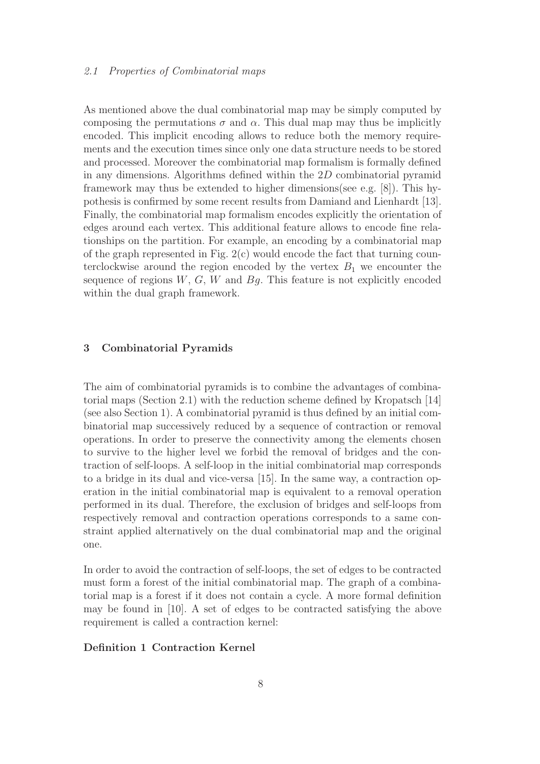## 2.1 Properties of Combinatorial maps

As mentioned above the dual combinatorial map may be simply computed by composing the permutations  $\sigma$  and  $\alpha$ . This dual map may thus be implicitly encoded. This implicit encoding allows to reduce both the memory requirements and the execution times since only one data structure needs to be stored and processed. Moreover the combinatorial map formalism is formally defined in any dimensions. Algorithms defined within the 2D combinatorial pyramid framework may thus be extended to higher dimensions(see e.g. [8]). This hypothesis is confirmed by some recent results from Damiand and Lienhardt [13]. Finally, the combinatorial map formalism encodes explicitly the orientation of edges around each vertex. This additional feature allows to encode fine relationships on the partition. For example, an encoding by a combinatorial map of the graph represented in Fig.  $2(c)$  would encode the fact that turning counterclockwise around the region encoded by the vertex  $B_1$  we encounter the sequence of regions  $W, G, W$  and  $Bg$ . This feature is not explicitly encoded within the dual graph framework.

## 3 Combinatorial Pyramids

The aim of combinatorial pyramids is to combine the advantages of combinatorial maps (Section 2.1) with the reduction scheme defined by Kropatsch [14] (see also Section 1). A combinatorial pyramid is thus defined by an initial combinatorial map successively reduced by a sequence of contraction or removal operations. In order to preserve the connectivity among the elements chosen to survive to the higher level we forbid the removal of bridges and the contraction of self-loops. A self-loop in the initial combinatorial map corresponds to a bridge in its dual and vice-versa [15]. In the same way, a contraction operation in the initial combinatorial map is equivalent to a removal operation performed in its dual. Therefore, the exclusion of bridges and self-loops from respectively removal and contraction operations corresponds to a same constraint applied alternatively on the dual combinatorial map and the original one.

In order to avoid the contraction of self-loops, the set of edges to be contracted must form a forest of the initial combinatorial map. The graph of a combinatorial map is a forest if it does not contain a cycle. A more formal definition may be found in [10]. A set of edges to be contracted satisfying the above requirement is called a contraction kernel:

# Definition 1 Contraction Kernel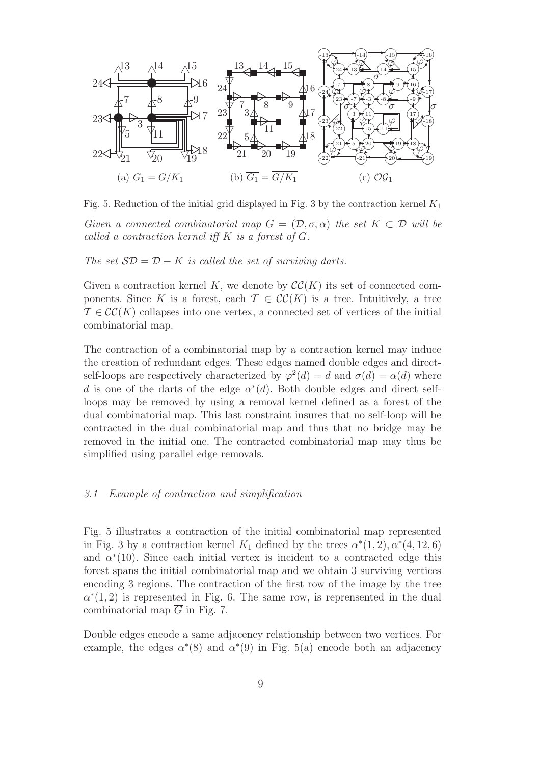

Fig. 5. Reduction of the initial grid displayed in Fig. 3 by the contraction kernel  $K_1$ 

Given a connected combinatorial map  $G = (\mathcal{D}, \sigma, \alpha)$  the set  $K \subset \mathcal{D}$  will be called a contraction kernel iff  $K$  is a forest of  $G$ .

The set  $SD = D - K$  is called the set of surviving darts.

Given a contraction kernel K, we denote by  $\mathcal{CC}(K)$  its set of connected components. Since K is a forest, each  $\mathcal{T} \in \mathcal{CC}(K)$  is a tree. Intuitively, a tree  $\mathcal{T} \in \mathcal{CC}(K)$  collapses into one vertex, a connected set of vertices of the initial combinatorial map.

The contraction of a combinatorial map by a contraction kernel may induce the creation of redundant edges. These edges named double edges and directself-loops are respectively characterized by  $\varphi^2(d) = d$  and  $\sigma(d) = \alpha(d)$  where d is one of the darts of the edge  $\alpha^*(d)$ . Both double edges and direct selfloops may be removed by using a removal kernel defined as a forest of the dual combinatorial map. This last constraint insures that no self-loop will be contracted in the dual combinatorial map and thus that no bridge may be removed in the initial one. The contracted combinatorial map may thus be simplified using parallel edge removals.

## 3.1 Example of contraction and simplification

Fig. 5 illustrates a contraction of the initial combinatorial map represented in Fig. 3 by a contraction kernel  $K_1$  defined by the trees  $\alpha^*(1,2), \alpha^*(4,12,6)$ and  $\alpha^*(10)$ . Since each initial vertex is incident to a contracted edge this forest spans the initial combinatorial map and we obtain 3 surviving vertices encoding 3 regions. The contraction of the first row of the image by the tree  $\alpha^*(1,2)$  is represented in Fig. 6. The same row, is reprensented in the dual combinatorial map  $\overline{G}$  in Fig. 7.

Double edges encode a same adjacency relationship between two vertices. For example, the edges  $\alpha^*(8)$  and  $\alpha^*(9)$  in Fig. 5(a) encode both an adjacency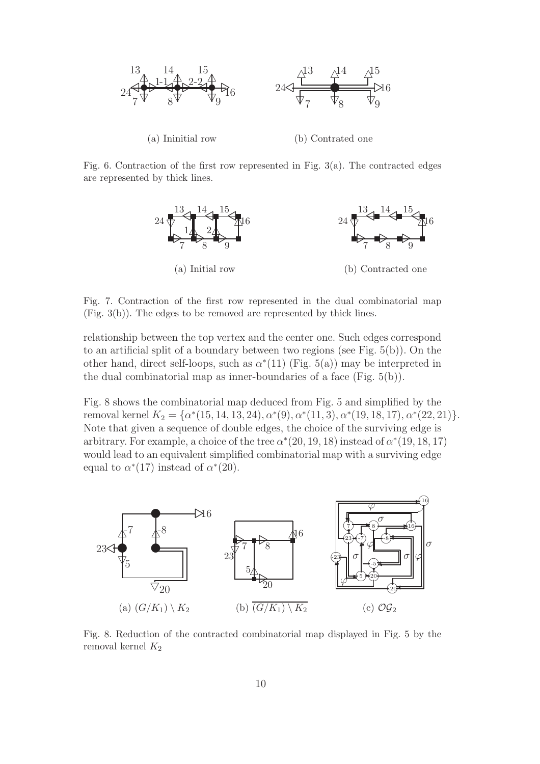

Fig. 6. Contraction of the first row represented in Fig.  $3(a)$ . The contracted edges are represented by thick lines.



Fig. 7. Contraction of the first row represented in the dual combinatorial map (Fig. 3(b)). The edges to be removed are represented by thick lines.

relationship between the top vertex and the center one. Such edges correspond to an artificial split of a boundary between two regions (see Fig. 5(b)). On the other hand, direct self-loops, such as  $\alpha^*(11)$  (Fig. 5(a)) may be interpreted in the dual combinatorial map as inner-boundaries of a face (Fig. 5(b)).

Fig. 8 shows the combinatorial map deduced from Fig. 5 and simplified by the removal kernel  $K_2 = \{\alpha^*(15, 14, 13, 24), \alpha^*(9), \alpha^*(11, 3), \alpha^*(19, 18, 17), \alpha^*(22, 21)\}.$ Note that given a sequence of double edges, the choice of the surviving edge is arbitrary. For example, a choice of the tree  $\alpha^*(20, 19, 18)$  instead of  $\alpha^*(19, 18, 17)$ would lead to an equivalent simplified combinatorial map with a surviving edge equal to  $\alpha^*(17)$  instead of  $\alpha^*(20)$ .



Fig. 8. Reduction of the contracted combinatorial map displayed in Fig. 5 by the removal kernel  $K_2$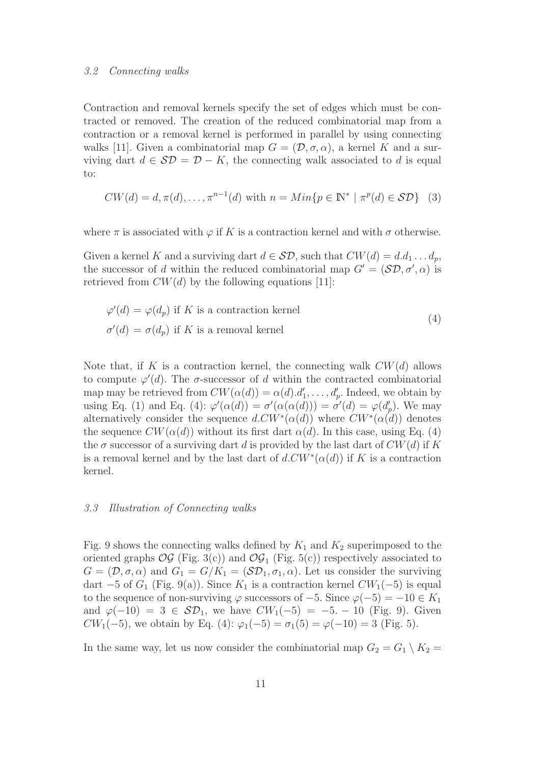#### 3.2 Connecting walks

Contraction and removal kernels specify the set of edges which must be contracted or removed. The creation of the reduced combinatorial map from a contraction or a removal kernel is performed in parallel by using connecting walks [11]. Given a combinatorial map  $G = (\mathcal{D}, \sigma, \alpha)$ , a kernel K and a surviving dart  $d \in \mathcal{SD} = \mathcal{D} - K$ , the connecting walk associated to d is equal to:

$$
CW(d) = d, \pi(d), \dots, \pi^{n-1}(d) \text{ with } n = Min\{p \in \mathbb{N}^* \mid \pi^p(d) \in \mathcal{SD}\}
$$
 (3)

where  $\pi$  is associated with  $\varphi$  if K is a contraction kernel and with  $\sigma$  otherwise.

Given a kernel K and a surviving dart  $d \in \mathcal{SD}$ , such that  $CW(d) = d.d_1 \dots d_p$ , the successor of d within the reduced combinatorial map  $G' = (\mathcal{SD}, \sigma', \alpha)$  is retrieved from  $CW(d)$  by the following equations [11]:

$$
\varphi'(d) = \varphi(d_p) \text{ if } K \text{ is a contraction kernel}
$$
  
\n
$$
\sigma'(d) = \sigma(d_p) \text{ if } K \text{ is a removal kernel}
$$
\n(4)

Note that, if K is a contraction kernel, the connecting walk  $CW(d)$  allows to compute  $\varphi'(d)$ . The  $\sigma$ -successor of d within the contracted combinatorial map may be retrieved from  $CW(\alpha(d)) = \alpha(d) \ldotp d'_1, \ldots, d'_p$ . Indeed, we obtain by using Eq. (1) and Eq. (4):  $\varphi'(\alpha(d)) = \sigma'(\alpha(\alpha(d))) = \sigma'(d) = \varphi(d'_p)$ . We may alternatively consider the sequence  $d.CW^*(\alpha(d))$  where  $CW^*(\alpha(d))$  denotes the sequence  $CW(\alpha(d))$  without its first dart  $\alpha(d)$ . In this case, using Eq. (4) the  $\sigma$  successor of a surviving dart d is provided by the last dart of  $CW(d)$  if K is a removal kernel and by the last dart of  $d.CW^*(\alpha(d))$  if K is a contraction kernel.

#### 3.3 Illustration of Connecting walks

Fig. 9 shows the connecting walks defined by  $K_1$  and  $K_2$  superimposed to the oriented graphs  $\mathcal{OG}$  (Fig. 3(c)) and  $\mathcal{OG}_1$  (Fig. 5(c)) respectively associated to  $G = (\mathcal{D}, \sigma, \alpha)$  and  $G_1 = G/K_1 = (\mathcal{SD}_1, \sigma_1, \alpha)$ . Let us consider the surviving dart  $-5$  of  $G_1$  (Fig. 9(a)). Since  $K_1$  is a contraction kernel  $CW_1(-5)$  is equal to the sequence of non-surviving  $\varphi$  successors of  $-5$ . Since  $\varphi(-5) = -10 \in K_1$ and  $\varphi(-10) = 3 \in \mathcal{SD}_1$ , we have  $CW_1(-5) = -5$ . − 10 (Fig. 9). Given CW<sub>1</sub>(−5), we obtain by Eq. (4):  $\varphi_1(-5) = \sigma_1(5) = \varphi(-10) = 3$  (Fig. 5).

In the same way, let us now consider the combinatorial map  $G_2 = G_1 \setminus K_2 =$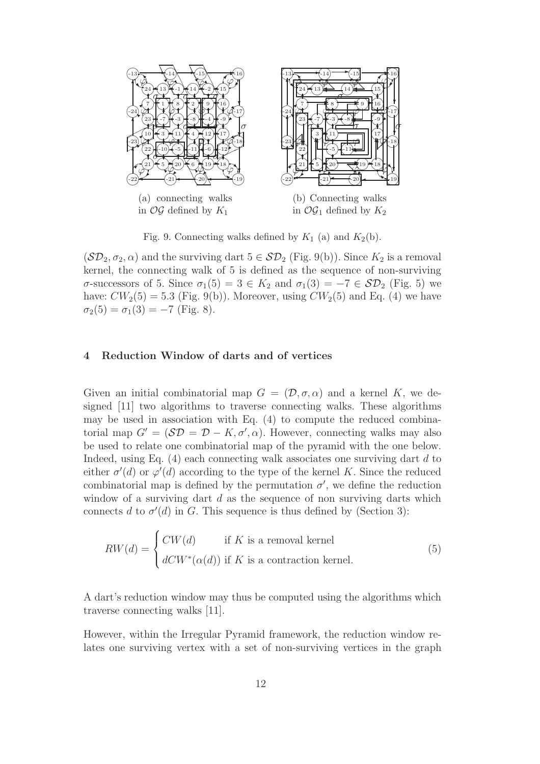

Fig. 9. Connecting walks defined by  $K_1$  (a) and  $K_2(b)$ .

 $(\mathcal{SD}_2, \sigma_2, \alpha)$  and the surviving dart  $5 \in \mathcal{SD}_2$  (Fig. 9(b)). Since  $K_2$  is a removal kernel, the connecting walk of 5 is defined as the sequence of non-surviving σ-successors of 5. Since  $\sigma_1(5) = 3 \in K_2$  and  $\sigma_1(3) = -7 \in \mathcal{SD}_2$  (Fig. 5) we have:  $CW_2(5) = 5.3$  (Fig. 9(b)). Moreover, using  $CW_2(5)$  and Eq. (4) we have  $\sigma_2(5) = \sigma_1(3) = -7$  (Fig. 8).

## 4 Reduction Window of darts and of vertices

Given an initial combinatorial map  $G = (\mathcal{D}, \sigma, \alpha)$  and a kernel K, we designed [11] two algorithms to traverse connecting walks. These algorithms may be used in association with Eq. (4) to compute the reduced combinatorial map  $G' = (\mathcal{SD} = \mathcal{D} - K, \sigma', \alpha)$ . However, connecting walks may also be used to relate one combinatorial map of the pyramid with the one below. Indeed, using Eq.  $(4)$  each connecting walk associates one surviving dart d to either  $\sigma'(d)$  or  $\varphi'(d)$  according to the type of the kernel K. Since the reduced combinatorial map is defined by the permutation  $\sigma'$ , we define the reduction window of a surviving dart  $d$  as the sequence of non surviving darts which connects d to  $\sigma'(d)$  in G. This sequence is thus defined by (Section 3):

$$
RW(d) = \begin{cases} CW(d) & \text{if } K \text{ is a removal kernel} \\ dCW^*(\alpha(d)) & \text{if } K \text{ is a contraction kernel.} \end{cases}
$$
 (5)

A dart's reduction window may thus be computed using the algorithms which traverse connecting walks [11].

However, within the Irregular Pyramid framework, the reduction window relates one surviving vertex with a set of non-surviving vertices in the graph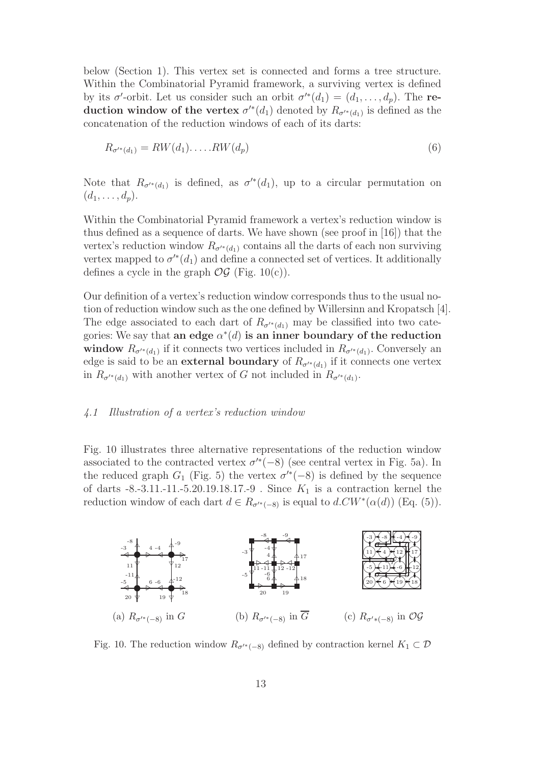below (Section 1). This vertex set is connected and forms a tree structure. Within the Combinatorial Pyramid framework, a surviving vertex is defined by its  $\sigma'$ -orbit. Let us consider such an orbit  $\sigma'^*(d_1) = (d_1, \ldots, d_p)$ . The reduction window of the vertex  $\sigma^{'}(d_1)$  denoted by  $R_{\sigma^{'}(d_1)}$  is defined as the concatenation of the reduction windows of each of its darts:

$$
R_{\sigma'^*(d_1)} = RW(d_1)\dots RW(d_p) \tag{6}
$$

Note that  $R_{\sigma^{k}(d_1)}$  is defined, as  $\sigma^{k}(d_1)$ , up to a circular permutation on  $(d_1, \ldots, d_p).$ 

Within the Combinatorial Pyramid framework a vertex's reduction window is thus defined as a sequence of darts. We have shown (see proof in [16]) that the vertex's reduction window  $R_{\sigma^{'}*(d_1)}$  contains all the darts of each non surviving vertex mapped to  $\sigma^{\prime*}(d_1)$  and define a connected set of vertices. It additionally defines a cycle in the graph  $\mathcal{O}\mathcal{G}$  (Fig. 10(c)).

Our definition of a vertex's reduction window corresponds thus to the usual notion of reduction window such as the one defined by Willersinn and Kropatsch [4]. The edge associated to each dart of  $R_{\sigma^{k}(d_1)}$  may be classified into two categories: We say that an edge  $\alpha^*(d)$  is an inner boundary of the reduction window  $R_{\sigma'^*(d_1)}$  if it connects two vertices included in  $R_{\sigma'^*(d_1)}$ . Conversely an edge is said to be an **external boundary** of  $R_{\sigma^{*}(d_1)}$  if it connects one vertex in  $R_{\sigma'^*(d_1)}$  with another vertex of G not included in  $R_{\sigma'^*(d_1)}$ .

#### 4.1 Illustration of a vertex's reduction window

Fig. 10 illustrates three alternative representations of the reduction window associated to the contracted vertex  $\sigma^{\prime*}(-8)$  (see central vertex in Fig. 5a). In the reduced graph  $G_1$  (Fig. 5) the vertex  $\sigma'^*(-8)$  is defined by the sequence of darts -8.-3.11.-11.-5.20.19.18.17.-9 . Since  $K_1$  is a contraction kernel the reduction window of each dart  $d \in R_{\sigma'^*(-8)}$  is equal to  $d.CW^*(\alpha(d))$  (Eq. (5)).



Fig. 10. The reduction window  $R_{\sigma^{*}(-8)}$  defined by contraction kernel  $K_1 \subset \mathcal{D}$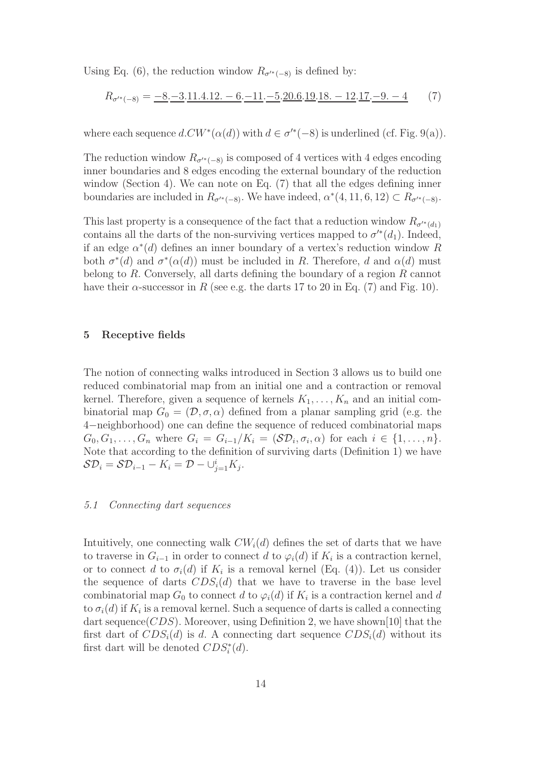Using Eq. (6), the reduction window  $R_{\sigma^{**(-8)}}$  is defined by:

$$
R_{\sigma^{**}(-8)} = \underline{-8}.\underline{-3}.\underline{11}.\underline{4}.\underline{12}.\underline{-6}.\underline{-11}.\underline{-5}.\underline{20}.\underline{6}.\underline{19}.\underline{18}.\underline{-12}.\underline{17}.\underline{-9}.\underline{-4} \tag{7}
$$

where each sequence  $d.CW^*(\alpha(d))$  with  $d \in \sigma'^*(-8)$  is underlined (cf. Fig. 9(a)).

The reduction window  $R_{\sigma^{'}{}^*(-8)}$  is composed of 4 vertices with 4 edges encoding inner boundaries and 8 edges encoding the external boundary of the reduction window (Section 4). We can note on Eq. (7) that all the edges defining inner boundaries are included in  $R_{\sigma'^*(-8)}$ . We have indeed,  $\alpha^*(4, 11, 6, 12) \subset R_{\sigma'^*(-8)}$ .

This last property is a consequence of the fact that a reduction window  $R_{\sigma^{**}(d_1)}$ contains all the darts of the non-surviving vertices mapped to  $\sigma^{'}(d_1)$ . Indeed, if an edge  $\alpha^*(d)$  defines an inner boundary of a vertex's reduction window R both  $\sigma^*(d)$  and  $\sigma^*(\alpha(d))$  must be included in R. Therefore, d and  $\alpha(d)$  must belong to  $R$ . Conversely, all darts defining the boundary of a region  $R$  cannot have their  $\alpha$ -successor in R (see e.g. the darts 17 to 20 in Eq. (7) and Fig. 10).

#### 5 Receptive fields

The notion of connecting walks introduced in Section 3 allows us to build one reduced combinatorial map from an initial one and a contraction or removal kernel. Therefore, given a sequence of kernels  $K_1, \ldots, K_n$  and an initial combinatorial map  $G_0 = (\mathcal{D}, \sigma, \alpha)$  defined from a planar sampling grid (e.g. the 4−neighborhood) one can define the sequence of reduced combinatorial maps  $G_0, G_1, \ldots, G_n$  where  $G_i = G_{i-1}/K_i = (\mathcal{SD}_i, \sigma_i, \alpha)$  for each  $i \in \{1, \ldots, n\}.$ Note that according to the definition of surviving darts (Definition 1) we have  $\mathcal{SD}_i = \mathcal{SD}_{i-1} - K_i = \mathcal{D} - \cup_{j=1}^i K_j.$ 

#### 5.1 Connecting dart sequences

Intuitively, one connecting walk  $CW_i(d)$  defines the set of darts that we have to traverse in  $G_{i-1}$  in order to connect d to  $\varphi_i(d)$  if  $K_i$  is a contraction kernel, or to connect d to  $\sigma_i(d)$  if  $K_i$  is a removal kernel (Eq. (4)). Let us consider the sequence of darts  $CDS<sub>i</sub>(d)$  that we have to traverse in the base level combinatorial map  $G_0$  to connect d to  $\varphi_i(d)$  if  $K_i$  is a contraction kernel and d to  $\sigma_i(d)$  if  $K_i$  is a removal kernel. Such a sequence of darts is called a connecting dart sequence( $CDS$ ). Moreover, using Definition 2, we have shown[10] that the first dart of  $CDS_i(d)$  is d. A connecting dart sequence  $CDS_i(d)$  without its first dart will be denoted  $CDS_i^*(d)$ .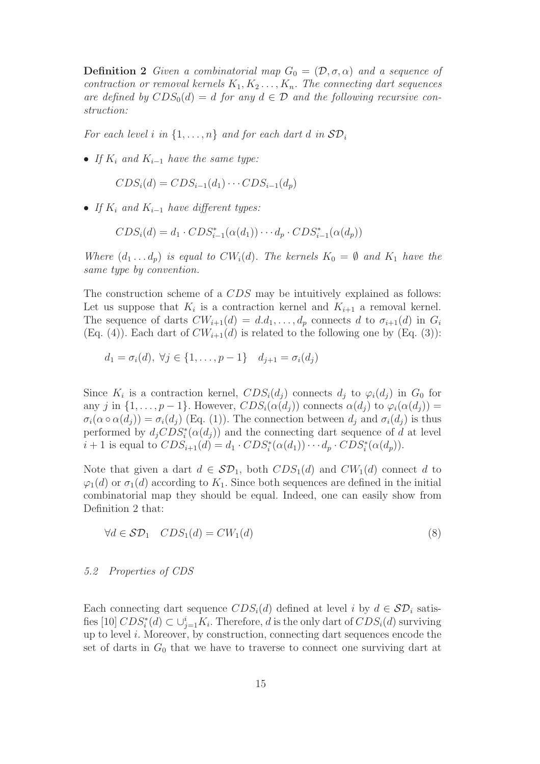**Definition 2** Given a combinatorial map  $G_0 = (\mathcal{D}, \sigma, \alpha)$  and a sequence of contraction or removal kernels  $K_1, K_2, \ldots, K_n$ . The connecting dart sequences are defined by  $CDS_0(d) = d$  for any  $d \in \mathcal{D}$  and the following recursive construction:

For each level i in  $\{1, \ldots, n\}$  and for each dart d in  $\mathcal{SD}_i$ 

• If  $K_i$  and  $K_{i-1}$  have the same type:

$$
CDS_i(d) = CDS_{i-1}(d_1) \cdots CDS_{i-1}(d_p)
$$

• If  $K_i$  and  $K_{i-1}$  have different types:

$$
CDS_i(d) = d_1 \cdot CDS_{i-1}^*(\alpha(d_1)) \cdot \cdot \cdot d_p \cdot CDS_{i-1}^*(\alpha(d_p))
$$

Where  $(d_1 \ldots d_p)$  is equal to  $CW_i(d)$ . The kernels  $K_0 = \emptyset$  and  $K_1$  have the same type by convention.

The construction scheme of a CDS may be intuitively explained as follows: Let us suppose that  $K_i$  is a contraction kernel and  $K_{i+1}$  a removal kernel. The sequence of darts  $CW_{i+1}(d) = d.d_1, \ldots, d_p$  connects d to  $\sigma_{i+1}(d)$  in  $G_i$ (Eq. (4)). Each dart of  $CW_{i+1}(d)$  is related to the following one by (Eq. (3)):

$$
d_1 = \sigma_i(d), \ \forall j \in \{1, ..., p-1\} \quad d_{j+1} = \sigma_i(d_j)
$$

Since  $K_i$  is a contraction kernel,  $CDS_i(d_j)$  connects  $d_j$  to  $\varphi_i(d_j)$  in  $G_0$  for any j in  $\{1,\ldots,p-1\}$ . However,  $CDS_i(\alpha(d_i))$  connects  $\alpha(d_i)$  to  $\varphi_i(\alpha(d_i))$  =  $\sigma_i(\alpha \circ \alpha(d_i)) = \sigma_i(d_i)$  (Eq. (1)). The connection between  $d_i$  and  $\sigma_i(d_i)$  is thus performed by  $d_j CDS_i^*(\alpha(d_j))$  and the connecting dart sequence of d at level  $i+1$  is equal to  $CDS_{i+1}(d) = d_1 \cdot CDS_i^*(\alpha(d_1)) \cdots d_p \cdot CDS_i^*(\alpha(d_p)).$ 

Note that given a dart  $d \in \mathcal{SD}_1$ , both  $CDS_1(d)$  and  $CW_1(d)$  connect d to  $\varphi_1(d)$  or  $\sigma_1(d)$  according to  $K_1$ . Since both sequences are defined in the initial combinatorial map they should be equal. Indeed, one can easily show from Definition 2 that:

$$
\forall d \in \mathcal{SD}_1 \quad CDS_1(d) = CW_1(d) \tag{8}
$$

#### 5.2 Properties of CDS

Each connecting dart sequence  $CDS_i(d)$  defined at level i by  $d \in SD_i$  satisfies [10]  $CDS_i^*(d) \subset \bigcup_{j=1}^i K_i$ . Therefore, d is the only dart of  $CDS_i(d)$  surviving up to level i. Moreover, by construction, connecting dart sequences encode the set of darts in  $G_0$  that we have to traverse to connect one surviving dart at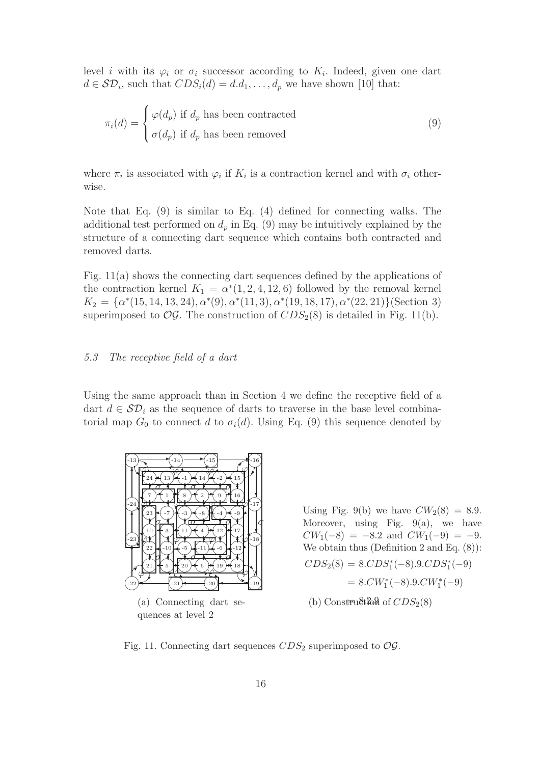level *i* with its  $\varphi_i$  or  $\sigma_i$  successor according to  $K_i$ . Indeed, given one dart  $d \in \mathcal{SD}_i$ , such that  $CDS_i(d) = d.d_1, \ldots, d_p$  we have shown [10] that:

$$
\pi_i(d) = \begin{cases} \varphi(d_p) \text{ if } d_p \text{ has been contracted} \\ \sigma(d_p) \text{ if } d_p \text{ has been removed} \end{cases}
$$
\n(9)

where  $\pi_i$  is associated with  $\varphi_i$  if  $K_i$  is a contraction kernel and with  $\sigma_i$  otherwise.

Note that Eq. (9) is similar to Eq. (4) defined for connecting walks. The additional test performed on  $d_p$  in Eq. (9) may be intuitively explained by the structure of a connecting dart sequence which contains both contracted and removed darts.

Fig. 11(a) shows the connecting dart sequences defined by the applications of the contraction kernel  $K_1 = \alpha^*(1, 2, 4, 12, 6)$  followed by the removal kernel  $K_2 = {\alpha^*(15, 14, 13, 24), \alpha^*(9), \alpha^*(11, 3), \alpha^*(19, 18, 17), \alpha^*(22, 21)}$  (Section 3) superimposed to  $\mathcal{OG}$ . The construction of  $CDS_2(8)$  is detailed in Fig. 11(b).

## 5.3 The receptive field of a dart

Using the same approach than in Section 4 we define the receptive field of a dart  $d \in \mathcal{SD}_i$  as the sequence of darts to traverse in the base level combinatorial map  $G_0$  to connect d to  $\sigma_i(d)$ . Using Eq. (9) this sequence denoted by



Using Fig. 9(b) we have  $CW_2(8) = 8.9$ . Moreover, using Fig.  $9(a)$ , we have  $CW_1(-8) = -8.2$  and  $CW_1(-9) = -9.$ We obtain thus (Definition 2 and Eq. (8)):  $CDS_2(8) = 8.CDS_1^*(-8).9.CDS_1^*(-9)$  $= 8. CW_1^*(-8). 9. CW_1^*(-9)$ (b) Construction of  $CDS<sub>2</sub>(8)$ 

Fig. 11. Connecting dart sequences  $CDS_2$  superimposed to  $OG$ .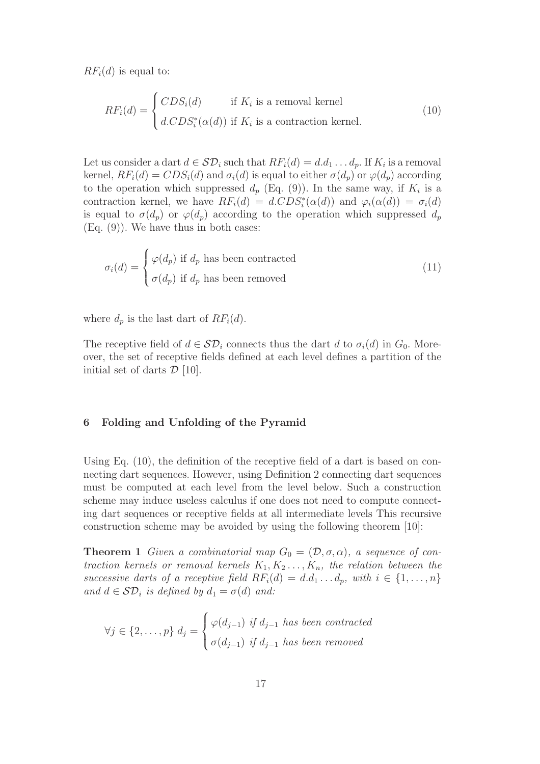$RF_i(d)$  is equal to:

$$
RF_i(d) = \begin{cases} CDS_i(d) & \text{if } K_i \text{ is a removal kernel} \\ d.CDS_i^*(\alpha(d)) & \text{if } K_i \text{ is a contraction kernel.} \end{cases}
$$
 (10)

Let us consider a dart  $d \in \mathcal{SD}_i$  such that  $RF_i(d) = d.d_1 \dots d_p$ . If  $K_i$  is a removal kernel,  $RF_i(d) = CDS_i(d)$  and  $\sigma_i(d)$  is equal to either  $\sigma(d_p)$  or  $\varphi(d_p)$  according to the operation which suppressed  $d_p$  (Eq. (9)). In the same way, if  $K_i$  is a contraction kernel, we have  $RF_i(d) = d.CDS_i^*(\alpha(d))$  and  $\varphi_i(\alpha(d)) = \sigma_i(d)$ is equal to  $\sigma(d_p)$  or  $\varphi(d_p)$  according to the operation which suppressed  $d_p$  $(Eq. (9))$ . We have thus in both cases:

$$
\sigma_i(d) = \begin{cases} \varphi(d_p) \text{ if } d_p \text{ has been contracted} \\ \sigma(d_p) \text{ if } d_p \text{ has been removed} \end{cases}
$$
\n(11)

where  $d_p$  is the last dart of  $RF_i(d)$ .

The receptive field of  $d \in \mathcal{SD}_i$  connects thus the dart d to  $\sigma_i(d)$  in  $G_0$ . Moreover, the set of receptive fields defined at each level defines a partition of the initial set of darts  $\mathcal{D}$  [10].

# 6 Folding and Unfolding of the Pyramid

Using Eq. (10), the definition of the receptive field of a dart is based on connecting dart sequences. However, using Definition 2 connecting dart sequences must be computed at each level from the level below. Such a construction scheme may induce useless calculus if one does not need to compute connecting dart sequences or receptive fields at all intermediate levels This recursive construction scheme may be avoided by using the following theorem [10]:

**Theorem 1** Given a combinatorial map  $G_0 = (\mathcal{D}, \sigma, \alpha)$ , a sequence of contraction kernels or removal kernels  $K_1, K_2, \ldots, K_n$ , the relation between the successive darts of a receptive field  $RF_i(d) = d.d_1 \ldots d_p$ , with  $i \in \{1, \ldots, n\}$ and  $d \in \mathcal{SD}_i$  is defined by  $d_1 = \sigma(d)$  and:

$$
\forall j \in \{2, ..., p\} \ d_j = \begin{cases} \varphi(d_{j-1}) \text{ if } d_{j-1} \text{ has been contracted} \\ \sigma(d_{j-1}) \text{ if } d_{j-1} \text{ has been removed} \end{cases}
$$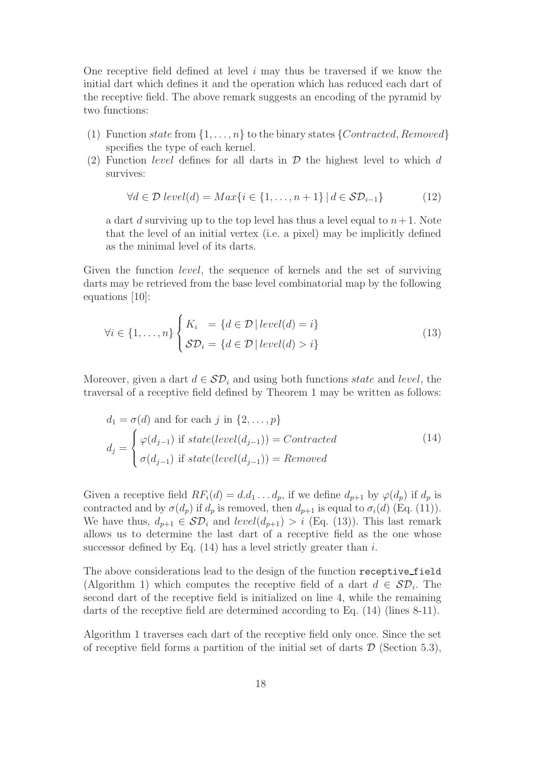One receptive field defined at level  $i$  may thus be traversed if we know the initial dart which defines it and the operation which has reduced each dart of the receptive field. The above remark suggests an encoding of the pyramid by two functions:

- (1) Function state from  $\{1, \ldots, n\}$  to the binary states  $\{Contracted, Removed\}$ specifies the type of each kernel.
- (2) Function *level* defines for all darts in  $D$  the highest level to which d survives:

$$
\forall d \in \mathcal{D} \ level(d) = Max\{i \in \{1, \dots, n+1\} \mid d \in \mathcal{SD}_{i-1}\}
$$
(12)

a dart d surviving up to the top level has thus a level equal to  $n+1$ . Note that the level of an initial vertex (i.e. a pixel) may be implicitly defined as the minimal level of its darts.

Given the function *level*, the sequence of kernels and the set of surviving darts may be retrieved from the base level combinatorial map by the following equations [10]:

$$
\forall i \in \{1, ..., n\} \begin{cases} K_i = \{d \in \mathcal{D} \mid level(d) = i\} \\ \mathcal{SD}_i = \{d \in \mathcal{D} \mid level(d) > i\} \end{cases}
$$
(13)

Moreover, given a dart  $d \in \mathcal{SD}_i$  and using both functions state and level, the traversal of a receptive field defined by Theorem 1 may be written as follows:

$$
d_1 = \sigma(d) \text{ and for each } j \text{ in } \{2, ..., p\}
$$
  
\n
$$
d_j = \begin{cases} \varphi(d_{j-1}) \text{ if } state(level(d_{j-1})) = Contracted \\ \sigma(d_{j-1}) \text{ if } state(level(d_{j-1})) = Removeed \end{cases}
$$
\n(14)

Given a receptive field  $RF_i(d) = d.d_1 \ldots d_p$ , if we define  $d_{p+1}$  by  $\varphi(d_p)$  if  $d_p$  is contracted and by  $\sigma(d_p)$  if  $d_p$  is removed, then  $d_{p+1}$  is equal to  $\sigma_i(d)$  (Eq. (11)). We have thus,  $d_{p+1} \in \mathcal{SD}_i$  and  $level(d_{p+1}) > i$  (Eq. (13)). This last remark allows us to determine the last dart of a receptive field as the one whose successor defined by Eq.  $(14)$  has a level strictly greater than i.

The above considerations lead to the design of the function receptive field (Algorithm 1) which computes the receptive field of a dart  $d \in \mathcal{SD}_i$ . The second dart of the receptive field is initialized on line 4, while the remaining darts of the receptive field are determined according to Eq. (14) (lines 8-11).

Algorithm 1 traverses each dart of the receptive field only once. Since the set of receptive field forms a partition of the initial set of darts  $\mathcal D$  (Section 5.3),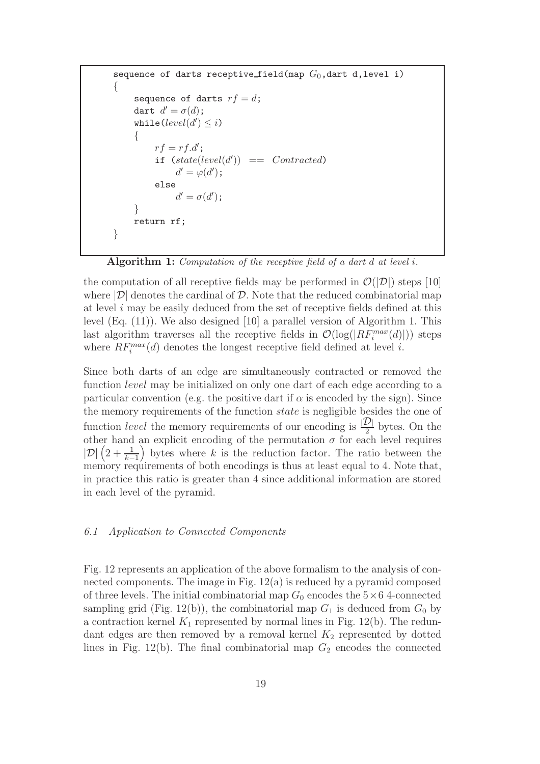```
sequence of darts receptive field(map G_0, dart d, level i)
{
     sequence of darts rf = d;
     dart d' = \sigma(d);
     while (\text{level}(d') \leq i){
          rf = rf.d';
          if (state(level(d')) == Contracted)d' = \varphi(d');
          else
               d' = \sigma(d');
     }
     return rf;
}
```
Algorithm 1: Computation of the receptive field of a dart d at level i.

the computation of all receptive fields may be performed in  $\mathcal{O}(|\mathcal{D}|)$  steps [10] where  $|\mathcal{D}|$  denotes the cardinal of  $\mathcal{D}$ . Note that the reduced combinatorial map at level  $i$  may be easily deduced from the set of receptive fields defined at this level (Eq. (11)). We also designed [10] a parallel version of Algorithm 1. This last algorithm traverses all the receptive fields in  $\mathcal{O}(\log(|RF_i^{max}(d)|))$  steps where  $RF_i^{max}(d)$  denotes the longest receptive field defined at level *i*.

Since both darts of an edge are simultaneously contracted or removed the function level may be initialized on only one dart of each edge according to a particular convention (e.g. the positive dart if  $\alpha$  is encoded by the sign). Since the memory requirements of the function state is negligible besides the one of function *level* the memory requirements of our encoding is  $\frac{D}{2}$  bytes. On the other hand an explicit encoding of the permutation  $\sigma$  for each level requires  $|\mathcal{D}|$   $\left(2+\frac{1}{k-1}\right)$  bytes where k is the reduction factor. The ratio between the memory requirements of both encodings is thus at least equal to 4. Note that, in practice this ratio is greater than 4 since additional information are stored in each level of the pyramid.

# 6.1 Application to Connected Components

Fig. 12 represents an application of the above formalism to the analysis of connected components. The image in Fig. 12(a) is reduced by a pyramid composed of three levels. The initial combinatorial map  $G_0$  encodes the  $5\times 6$  4-connected sampling grid (Fig. 12(b)), the combinatorial map  $G_1$  is deduced from  $G_0$  by a contraction kernel  $K_1$  represented by normal lines in Fig. 12(b). The redundant edges are then removed by a removal kernel  $K_2$  represented by dotted lines in Fig. 12(b). The final combinatorial map  $G_2$  encodes the connected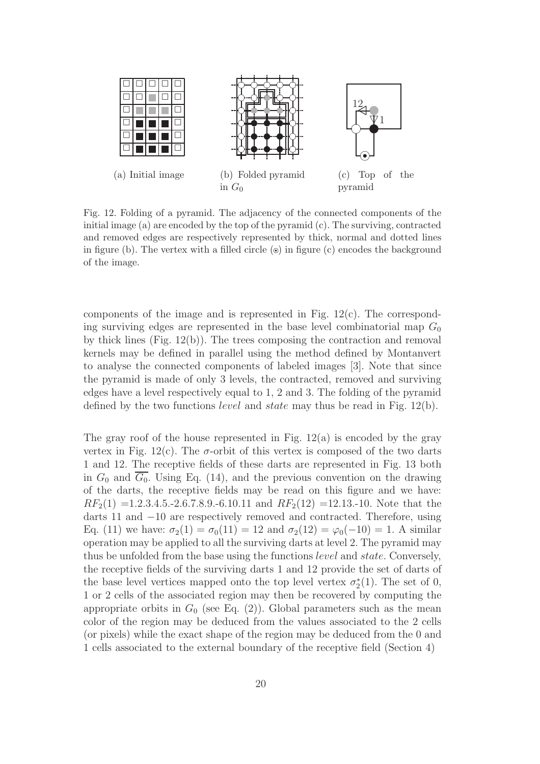

Fig. 12. Folding of a pyramid. The adjacency of the connected components of the initial image (a) are encoded by the top of the pyramid (c). The surviving, contracted and removed edges are respectively represented by thick, normal and dotted lines in figure (b). The vertex with a filled circle  $\circ$ ) in figure (c) encodes the background of the image.

components of the image and is represented in Fig. 12(c). The corresponding surviving edges are represented in the base level combinatorial map  $G_0$ by thick lines  $(Fig. 12(b))$ . The trees composing the contraction and removal kernels may be defined in parallel using the method defined by Montanvert to analyse the connected components of labeled images [3]. Note that since the pyramid is made of only 3 levels, the contracted, removed and surviving edges have a level respectively equal to 1, 2 and 3. The folding of the pyramid defined by the two functions *level* and *state* may thus be read in Fig. 12(b).

The gray roof of the house represented in Fig.  $12(a)$  is encoded by the gray vertex in Fig. 12(c). The  $\sigma$ -orbit of this vertex is composed of the two darts 1 and 12. The receptive fields of these darts are represented in Fig. 13 both in  $G_0$  and  $\overline{G_0}$ . Using Eq. (14), and the previous convention on the drawing of the darts, the receptive fields may be read on this figure and we have:  $RF_2(1) = 1.2.3.4.5.4.5.8.9.6.10.11$  and  $RF_2(12) = 12.13.4.10.$  Note that the darts 11 and −10 are respectively removed and contracted. Therefore, using Eq. (11) we have:  $\sigma_2(1) = \sigma_0(11) = 12$  and  $\sigma_2(12) = \varphi_0(-10) = 1$ . A similar operation may be applied to all the surviving darts at level 2. The pyramid may thus be unfolded from the base using the functions level and state. Conversely, the receptive fields of the surviving darts 1 and 12 provide the set of darts of the base level vertices mapped onto the top level vertex  $\sigma_2^*(1)$ . The set of 0, 1 or 2 cells of the associated region may then be recovered by computing the appropriate orbits in  $G_0$  (see Eq. (2)). Global parameters such as the mean color of the region may be deduced from the values associated to the 2 cells (or pixels) while the exact shape of the region may be deduced from the 0 and 1 cells associated to the external boundary of the receptive field (Section 4)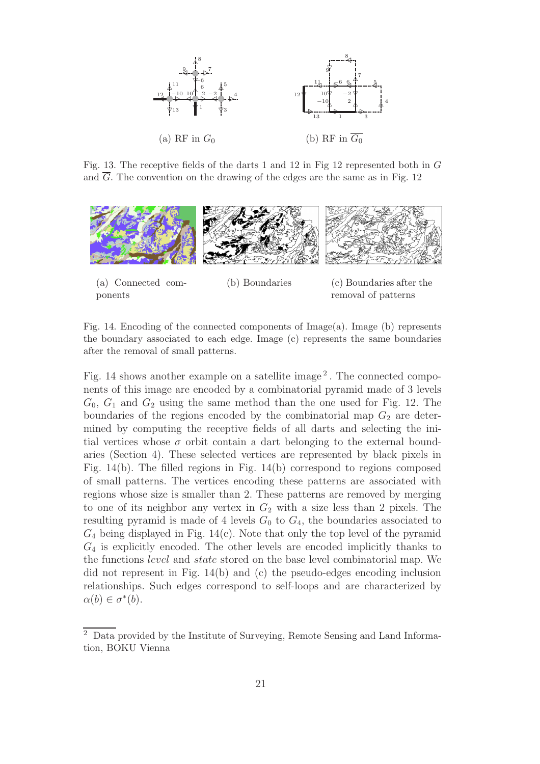

Fig. 13. The receptive fields of the darts 1 and 12 in Fig 12 represented both in  $G$ and  $\overline{G}$ . The convention on the drawing of the edges are the same as in Fig. 12



(a) Connected components

(b) Boundaries (c) Boundaries after the removal of patterns

Fig. 14. Encoding of the connected components of Image(a). Image (b) represents the boundary associated to each edge. Image (c) represents the same boundaries after the removal of small patterns.

Fig. 14 shows another example on a satellite image<sup>2</sup>. The connected components of this image are encoded by a combinatorial pyramid made of 3 levels  $G_0, G_1$  and  $G_2$  using the same method than the one used for Fig. 12. The boundaries of the regions encoded by the combinatorial map  $G_2$  are determined by computing the receptive fields of all darts and selecting the initial vertices whose  $\sigma$  orbit contain a dart belonging to the external boundaries (Section 4). These selected vertices are represented by black pixels in Fig. 14(b). The filled regions in Fig. 14(b) correspond to regions composed of small patterns. The vertices encoding these patterns are associated with regions whose size is smaller than 2. These patterns are removed by merging to one of its neighbor any vertex in  $G_2$  with a size less than 2 pixels. The resulting pyramid is made of 4 levels  $G_0$  to  $G_4$ , the boundaries associated to  $G_4$  being displayed in Fig. 14(c). Note that only the top level of the pyramid  $G_4$  is explicitly encoded. The other levels are encoded implicitly thanks to the functions level and state stored on the base level combinatorial map. We did not represent in Fig. 14(b) and (c) the pseudo-edges encoding inclusion relationships. Such edges correspond to self-loops and are characterized by  $\alpha(b) \in \sigma^*(b).$ 

<sup>2</sup> Data provided by the Institute of Surveying, Remote Sensing and Land Information, BOKU Vienna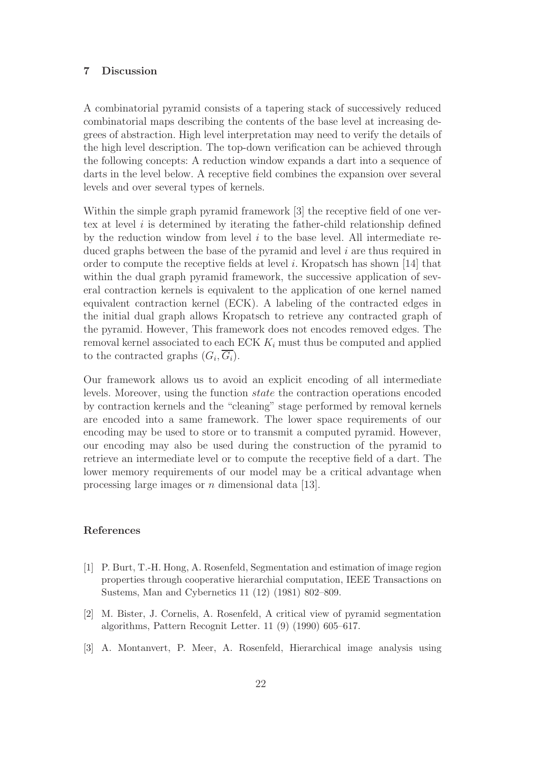## 7 Discussion

A combinatorial pyramid consists of a tapering stack of successively reduced combinatorial maps describing the contents of the base level at increasing degrees of abstraction. High level interpretation may need to verify the details of the high level description. The top-down verification can be achieved through the following concepts: A reduction window expands a dart into a sequence of darts in the level below. A receptive field combines the expansion over several levels and over several types of kernels.

Within the simple graph pyramid framework [3] the receptive field of one vertex at level  $i$  is determined by iterating the father-child relationship defined by the reduction window from level  $i$  to the base level. All intermediate reduced graphs between the base of the pyramid and level i are thus required in order to compute the receptive fields at level i. Kropatsch has shown [14] that within the dual graph pyramid framework, the successive application of several contraction kernels is equivalent to the application of one kernel named equivalent contraction kernel (ECK). A labeling of the contracted edges in the initial dual graph allows Kropatsch to retrieve any contracted graph of the pyramid. However, This framework does not encodes removed edges. The removal kernel associated to each ECK  $K_i$  must thus be computed and applied to the contracted graphs  $(G_i, G_i)$ .

Our framework allows us to avoid an explicit encoding of all intermediate levels. Moreover, using the function state the contraction operations encoded by contraction kernels and the "cleaning" stage performed by removal kernels are encoded into a same framework. The lower space requirements of our encoding may be used to store or to transmit a computed pyramid. However, our encoding may also be used during the construction of the pyramid to retrieve an intermediate level or to compute the receptive field of a dart. The lower memory requirements of our model may be a critical advantage when processing large images or  $n$  dimensional data [13].

# References

- [1] P. Burt, T.-H. Hong, A. Rosenfeld, Segmentation and estimation of image region properties through cooperative hierarchial computation, IEEE Transactions on Sustems, Man and Cybernetics 11 (12) (1981) 802–809.
- [2] M. Bister, J. Cornelis, A. Rosenfeld, A critical view of pyramid segmentation algorithms, Pattern Recognit Letter. 11 (9) (1990) 605–617.
- [3] A. Montanvert, P. Meer, A. Rosenfeld, Hierarchical image analysis using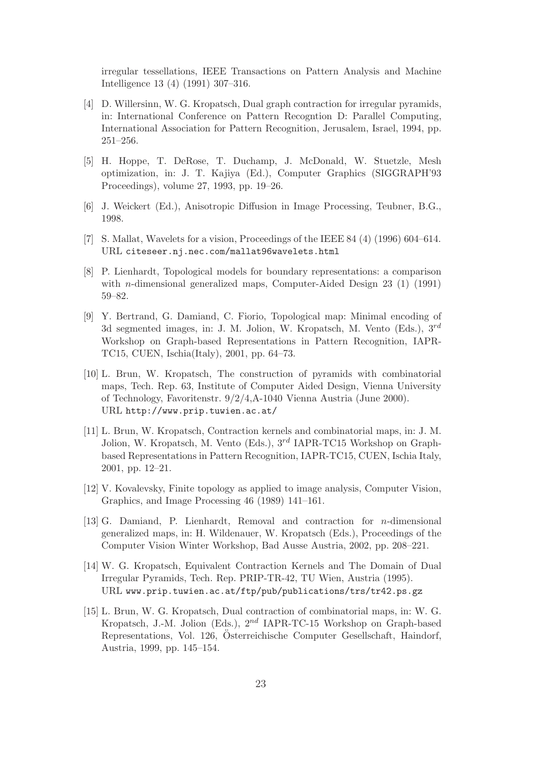irregular tessellations, IEEE Transactions on Pattern Analysis and Machine Intelligence 13 (4) (1991) 307–316.

- [4] D. Willersinn, W. G. Kropatsch, Dual graph contraction for irregular pyramids, in: International Conference on Pattern Recogntion D: Parallel Computing, International Association for Pattern Recognition, Jerusalem, Israel, 1994, pp. 251–256.
- [5] H. Hoppe, T. DeRose, T. Duchamp, J. McDonald, W. Stuetzle, Mesh optimization, in: J. T. Kajiya (Ed.), Computer Graphics (SIGGRAPH'93 Proceedings), volume 27, 1993, pp. 19–26.
- [6] J. Weickert (Ed.), Anisotropic Diffusion in Image Processing, Teubner, B.G., 1998.
- [7] S. Mallat, Wavelets for a vision, Proceedings of the IEEE 84 (4) (1996) 604–614. URL citeseer.nj.nec.com/mallat96wavelets.html
- [8] P. Lienhardt, Topological models for boundary representations: a comparison with *n*-dimensional generalized maps, Computer-Aided Design 23 (1) (1991) 59–82.
- [9] Y. Bertrand, G. Damiand, C. Fiorio, Topological map: Minimal encoding of 3d segmented images, in: J. M. Jolion, W. Kropatsch, M. Vento (Eds.),  $3^{rd}$ Workshop on Graph-based Representations in Pattern Recognition, IAPR-TC15, CUEN, Ischia(Italy), 2001, pp. 64–73.
- [10] L. Brun, W. Kropatsch, The construction of pyramids with combinatorial maps, Tech. Rep. 63, Institute of Computer Aided Design, Vienna University of Technology, Favoritenstr. 9/2/4,A-1040 Vienna Austria (June 2000). URL http://www.prip.tuwien.ac.at/
- [11] L. Brun, W. Kropatsch, Contraction kernels and combinatorial maps, in: J. M. Jolion, W. Kropatsch, M. Vento (Eds.),  $3^{rd}$  IAPR-TC15 Workshop on Graphbased Representations in Pattern Recognition, IAPR-TC15, CUEN, Ischia Italy, 2001, pp. 12–21.
- [12] V. Kovalevsky, Finite topology as applied to image analysis, Computer Vision, Graphics, and Image Processing 46 (1989) 141–161.
- [13] G. Damiand, P. Lienhardt, Removal and contraction for n-dimensional generalized maps, in: H. Wildenauer, W. Kropatsch (Eds.), Proceedings of the Computer Vision Winter Workshop, Bad Ausse Austria, 2002, pp. 208–221.
- [14] W. G. Kropatsch, Equivalent Contraction Kernels and The Domain of Dual Irregular Pyramids, Tech. Rep. PRIP-TR-42, TU Wien, Austria (1995). URL www.prip.tuwien.ac.at/ftp/pub/publications/trs/tr42.ps.gz
- [15] L. Brun, W. G. Kropatsch, Dual contraction of combinatorial maps, in: W. G. Kropatsch, J.-M. Jolion (Eds.), 2nd IAPR-TC-15 Workshop on Graph-based Representations, Vol. 126, Österreichische Computer Gesellschaft, Haindorf, Austria, 1999, pp. 145–154.